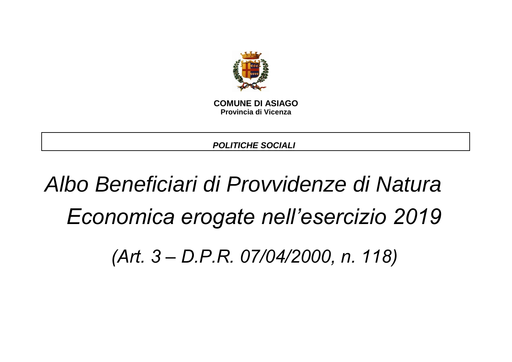

**COMUNE DI ASIAGO Provincia di Vicenza**

*POLITICHE SOCIALI* 

# *Albo Beneficiari di Provvidenze di Natura Economica erogate nell'esercizio 2019*

*(Art. 3 – D.P.R. 07/04/2000, n. 118)*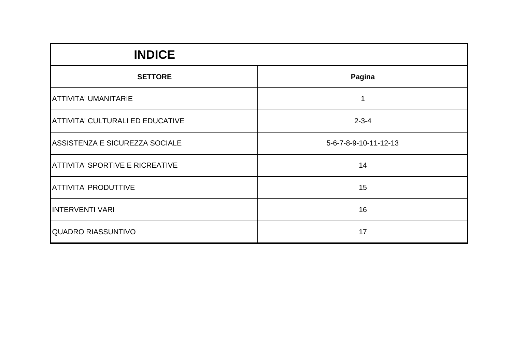| <b>INDICE</b>                          |                       |
|----------------------------------------|-----------------------|
| <b>SETTORE</b>                         | Pagina                |
| ATTIVITA' UMANITARIE                   |                       |
| ATTIVITA' CULTURALI ED EDUCATIVE       | $2 - 3 - 4$           |
| ASSISTENZA E SICUREZZA SOCIALE         | 5-6-7-8-9-10-11-12-13 |
| <b>ATTIVITA' SPORTIVE E RICREATIVE</b> | 14                    |
| <b>ATTIVITA' PRODUTTIVE</b>            | 15                    |
| <b>INTERVENTI VARI</b>                 | 16                    |
| <b>QUADRO RIASSUNTIVO</b>              | 17                    |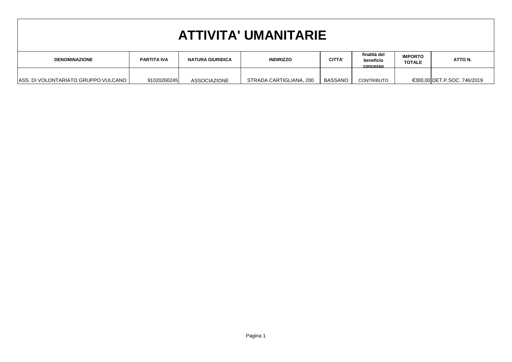| <b>ATTIVITA' UMANITARIE</b>                                                                                                                                                  |                                                                                                                                                                                  |  |  |  |  |  |  |  |  |
|------------------------------------------------------------------------------------------------------------------------------------------------------------------------------|----------------------------------------------------------------------------------------------------------------------------------------------------------------------------------|--|--|--|--|--|--|--|--|
| <b>DENOMINAZIONE</b>                                                                                                                                                         | finalità del<br><b>IMPORTO</b><br><b>CITTA'</b><br>ATTO N.<br><b>NATURA GIURIDICA</b><br><b>INDIRIZZO</b><br><b>PARTITA IVA</b><br>beneficio<br><b>TOTALE</b><br><b>CONCESSO</b> |  |  |  |  |  |  |  |  |
| ASS. DI VOLONTARIATO GRUPPO VULCANO  <br>€300,00 DET.P.SOC. 746/2019<br><b>BASSANO</b><br>91020260245<br>STRADA CARTIGLIANA, 200<br><b>CONTRIBUTO</b><br><b>ASSOCIAZIONE</b> |                                                                                                                                                                                  |  |  |  |  |  |  |  |  |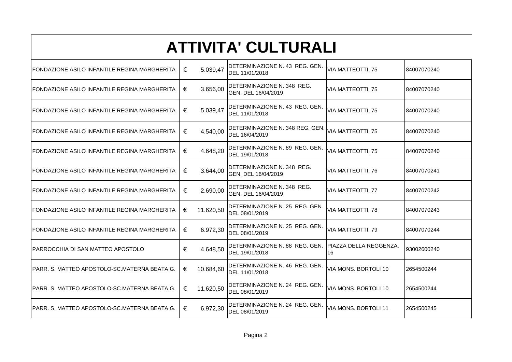## **ATTIVITA' CULTURALI**

| FONDAZIONE ASILO INFANTILE REGINA MARGHERITA  | 5.039,47<br>€  | DETERMINAZIONE N. 43 REG. GEN.<br>DEL 11/01/2018                        | VIA MATTEOTTI, 75    | 84007070240 |
|-----------------------------------------------|----------------|-------------------------------------------------------------------------|----------------------|-------------|
| FONDAZIONE ASILO INFANTILE REGINA MARGHERITA  | €<br>3.656,00  | DETERMINAZIONE N. 348 REG.<br>GEN. DEL 16/04/2019                       | VIA MATTEOTTI, 75    | 84007070240 |
| FONDAZIONE ASILO INFANTILE REGINA MARGHERITA  | 5.039,47<br>€  | DETERMINAZIONE N. 43 REG. GEN.<br>DEL 11/01/2018                        | VIA MATTEOTTI, 75    | 84007070240 |
| FONDAZIONE ASILO INFANTILE REGINA MARGHERITA  | 4.540,00<br>€  | DETERMINAZIONE N. 348 REG. GEN.<br>DEL 16/04/2019                       | VIA MATTEOTTI, 75    | 84007070240 |
| FONDAZIONE ASILO INFANTILE REGINA MARGHERITA  | €<br>4.648,20  | DETERMINAZIONE N. 89 REG. GEN.<br>DEL 19/01/2018                        | VIA MATTEOTTI, 75    | 84007070240 |
| FONDAZIONE ASILO INFANTILE REGINA MARGHERITA  | €<br>3.644,00  | DETERMINAZIONE N. 348 REG.<br>GEN. DEL 16/04/2019                       | VIA MATTEOTTI, 76    | 84007070241 |
| FONDAZIONE ASILO INFANTILE REGINA MARGHERITA  | 2.690,00<br>€  | DETERMINAZIONE N. 348 REG.<br>GEN. DEL 16/04/2019                       | VIA MATTEOTTI, 77    | 84007070242 |
| FONDAZIONE ASILO INFANTILE REGINA MARGHERITA  | €<br>11.620,50 | DETERMINAZIONE N. 25 REG. GEN.<br>DEL 08/01/2019                        | VIA MATTEOTTI, 78    | 84007070243 |
| FONDAZIONE ASILO INFANTILE REGINA MARGHERITA  | 6.972,30<br>€  | DETERMINAZIONE N. 25 REG. GEN.<br>DEL 08/01/2019                        | VIA MATTEOTTI, 79    | 84007070244 |
| PARROCCHIA DI SAN MATTEO APOSTOLO             | €<br>4.648,50  | DETERMINAZIONE N. 88 REG. GEN. PIAZZA DELLA REGGENZA.<br>DEL 19/01/2018 | 16                   | 93002600240 |
| PARR. S. MATTEO APOSTOLO-SC.MATERNA BEATA G.  | €<br>10.684,60 | DETERMINAZIONE N. 46 REG. GEN.<br>DEL 11/01/2018                        | VIA MONS. BORTOLI 10 | 2654500244  |
| PARR. S. MATTEO APOSTOLO-SC.MATERNA BEATA G.  | €<br>11.620,50 | DETERMINAZIONE N. 24 REG. GEN.<br>DEL 08/01/2019                        | VIA MONS. BORTOLI 10 | 2654500244  |
| IPARR. S. MATTEO APOSTOLO-SC.MATERNA BEATA G. | 6.972,30<br>€  | DETERMINAZIONE N. 24 REG. GEN.<br>DEL 08/01/2019                        | VIA MONS. BORTOLI 11 | 2654500245  |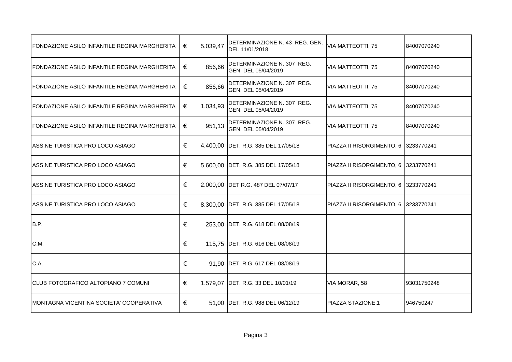| FONDAZIONE ASILO INFANTILE REGINA MARGHERITA         | € | 5.039,47 | DETERMINAZIONE N. 43 REG. GEN.<br>DEL 11/01/2018  | VIA MATTEOTTI, 75                    | 84007070240  |
|------------------------------------------------------|---|----------|---------------------------------------------------|--------------------------------------|--------------|
| IFONDAZIONE ASILO INFANTILE REGINA MARGHERITA        | € | 856,66   | DETERMINAZIONE N. 307 REG.<br>GEN. DEL 05/04/2019 | VIA MATTEOTTI, 75                    | 184007070240 |
| <b>IFONDAZIONE ASILO INFANTILE REGINA MARGHERITA</b> | € | 856,66   | DETERMINAZIONE N. 307 REG.<br>GEN. DEL 05/04/2019 | VIA MATTEOTTI, 75                    | 84007070240  |
| FONDAZIONE ASILO INFANTILE REGINA MARGHERITA         | € | 1.034,93 | DETERMINAZIONE N. 307 REG.<br>GEN. DEL 05/04/2019 | VIA MATTEOTTI, 75                    | 84007070240  |
| FONDAZIONE ASILO INFANTILE REGINA MARGHERITA         | € | 951,13   | DETERMINAZIONE N. 307 REG.<br>GEN. DEL 05/04/2019 | VIA MATTEOTTI, 75                    | 84007070240  |
| ASS.NE TURISTICA PRO LOCO ASIAGO                     | € |          | 4.400,00 DET. R.G. 385 DEL 17/05/18               | PIAZZA II RISORGIMENTO, 6 3233770241 |              |
| ASS.NE TURISTICA PRO LOCO ASIAGO                     | € |          | 5.600,00 DET. R.G. 385 DEL 17/05/18               | PIAZZA II RISORGIMENTO, 6 3233770241 |              |
| ASS.NE TURISTICA PRO LOCO ASIAGO                     | € |          | 2.000,00 DET R.G. 487 DEL 07/07/17                | PIAZZA II RISORGIMENTO, 6            | 13233770241  |
| IASS.NE TURISTICA PRO LOCO ASIAGO                    | € |          | 8.300,00 DET. R.G. 385 DEL 17/05/18               | PIAZZA II RISORGIMENTO, 6 3233770241 |              |
| B.P.                                                 | € |          | 253,00 DET. R.G. 618 DEL 08/08/19                 |                                      |              |
| C.M.                                                 | € |          | 115,75 DET. R.G. 616 DEL 08/08/19                 |                                      |              |
| C.A.                                                 | € |          | 91,90 DET. R.G. 617 DEL 08/08/19                  |                                      |              |
| <b>ICLUB FOTOGRAFICO ALTOPIANO 7 COMUNI</b>          | € |          | 1.579,07 DET. R.G. 33 DEL 10/01/19                | VIA MORAR, 58                        | 93031750248  |
| <b>MONTAGNA VICENTINA SOCIETA' COOPERATIVA</b>       | € |          | 51,00 DET. R.G. 988 DEL 06/12/19                  | PIAZZA STAZIONE,1                    | 946750247    |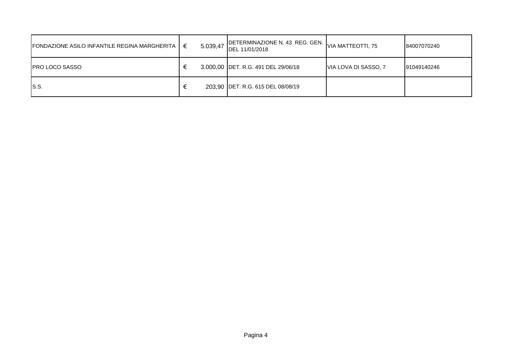| <b>FONDAZIONE ASILO INFANTILE REGINA MARGHERITA</b> | € | 5.039,47 | DETERMINAZIONE N. 43 REG. GEN.  <br>DEL 11/01/2018 | VIA MATTEOTTI, 75    | 84007070240 |
|-----------------------------------------------------|---|----------|----------------------------------------------------|----------------------|-------------|
| <b>IPRO LOCO SASSO</b>                              |   |          | 3.000,00 DET. R.G. 491 DEL 29/06/18                | VIA LOVA DI SASSO, 7 | 91049140246 |
| IS.S.                                               |   |          | 203,90 DET. R.G. 615 DEL 08/08/19                  |                      |             |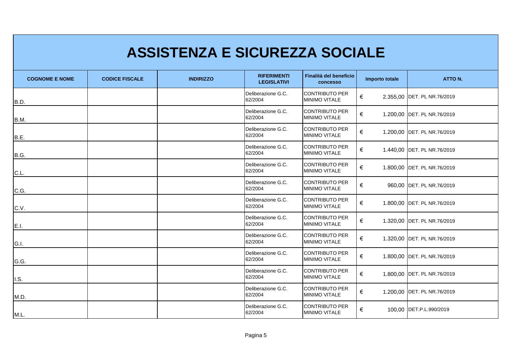|                       |                       | <b>ASSISTENZA E SICUREZZA SOCIALE</b> |                                          |                                               |                |                              |
|-----------------------|-----------------------|---------------------------------------|------------------------------------------|-----------------------------------------------|----------------|------------------------------|
| <b>COGNOME E NOME</b> | <b>CODICE FISCALE</b> | <b>INDIRIZZO</b>                      | <b>RIFERIMENTI</b><br><b>LEGISLATIVI</b> | Finalità del beneficio<br>concesso            | Importo totale | <b>ATTO N.</b>               |
| B.D.                  |                       |                                       | Deliberazione G.C.<br>62/2004            | <b>CONTRIBUTO PER</b><br><b>MINIMO VITALE</b> | €              | 2.355.00 IDET. PL NR.76/2019 |
| B.M.                  |                       |                                       | Deliberazione G.C.<br>62/2004            | <b>CONTRIBUTO PER</b><br><b>MINIMO VITALE</b> | €              | 1.200,00 DET. PL NR.76/2019  |
| B.E.                  |                       |                                       | Deliberazione G.C.<br>62/2004            | <b>CONTRIBUTO PER</b><br>MINIMO VITALE        | €              | 1.200,00 DET. PL NR.76/2019  |
| B.G.                  |                       |                                       | Deliberazione G.C.<br>62/2004            | <b>CONTRIBUTO PER</b><br><b>MINIMO VITALE</b> | €              | 1.440,00 DET. PL NR.76/2019  |
| C.L.                  |                       |                                       | Deliberazione G.C.<br>62/2004            | <b>CONTRIBUTO PER</b><br>MINIMO VITALE        | €              | 1.800,00 DET. PL NR.76/2019  |
| C.G.                  |                       |                                       | Deliberazione G.C.<br>62/2004            | <b>CONTRIBUTO PER</b><br><b>MINIMO VITALE</b> | €              | 960,00 DET. PL NR.76/2019    |
| C.V.                  |                       |                                       | Deliberazione G.C.<br>62/2004            | <b>CONTRIBUTO PER</b><br>MINIMO VITALE        | €              | 1.800,00 DET. PL NR.76/2019  |
| E.I.                  |                       |                                       | Deliberazione G.C.<br>62/2004            | <b>CONTRIBUTO PER</b><br><b>MINIMO VITALE</b> | €              | 1.320,00 DET. PL NR.76/2019  |
| G.I.                  |                       |                                       | Deliberazione G.C.<br>62/2004            | <b>CONTRIBUTO PER</b><br>MINIMO VITALE        | €              | 1.320,00 DET. PL NR.76/2019  |
| G.G.                  |                       |                                       | Deliberazione G.C.<br>62/2004            | <b>CONTRIBUTO PER</b><br>MINIMO VITALE        | €              | 1.800,00 DET. PL NR.76/2019  |
| I.S.                  |                       |                                       | Deliberazione G.C.<br>62/2004            | <b>CONTRIBUTO PER</b><br><b>MINIMO VITALE</b> | €              | 1.800,00 DET. PL NR.76/2019  |
| M.D.                  |                       |                                       | Deliberazione G.C.<br>62/2004            | <b>CONTRIBUTO PER</b><br><b>MINIMO VITALE</b> | €              | 1.200,00 DET. PL NR.76/2019  |
| M.L.                  |                       |                                       | Deliberazione G.C.<br>62/2004            | <b>CONTRIBUTO PER</b><br><b>MINIMO VITALE</b> | €              | 100,00 DET.P.L.990/2019      |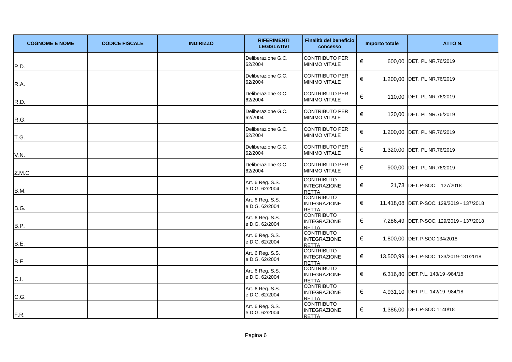| <b>COGNOME E NOME</b> | <b>CODICE FISCALE</b> | <b>INDIRIZZO</b> | <b>RIFERIMENTI</b><br><b>LEGISLATIVI</b> | Finalità del beneficio<br>concesso                       | Importo totale | ATTO N.                                    |
|-----------------------|-----------------------|------------------|------------------------------------------|----------------------------------------------------------|----------------|--------------------------------------------|
| P.D.                  |                       |                  | Deliberazione G.C.<br>62/2004            | <b>CONTRIBUTO PER</b><br><b>MINIMO VITALE</b>            | €              | 600,00 DET. PL NR.76/2019                  |
| R.A.                  |                       |                  | Deliberazione G.C.<br>62/2004            | CONTRIBUTO PER<br><b>MINIMO VITALE</b>                   | €              | 1.200,00 DET. PL NR.76/2019                |
| R.D.                  |                       |                  | Deliberazione G.C.<br>62/2004            | <b>CONTRIBUTO PER</b><br>MINIMO VITALE                   | €              | 110,00 DET. PL NR.76/2019                  |
| R.G.                  |                       |                  | Deliberazione G.C.<br>62/2004            | <b>CONTRIBUTO PER</b><br>MINIMO VITALE                   | €              | 120,00 DET. PL NR.76/2019                  |
| T.G.                  |                       |                  | Deliberazione G.C.<br>62/2004            | <b>CONTRIBUTO PER</b><br><b>MINIMO VITALE</b>            | €              | 1.200,00 DET. PL NR.76/2019                |
| V.N.                  |                       |                  | Deliberazione G.C.<br>62/2004            | CONTRIBUTO PER<br><b>MINIMO VITALE</b>                   | €              | 1.320,00 DET. PL NR.76/2019                |
| Z.M.C                 |                       |                  | Deliberazione G.C.<br>62/2004            | <b>CONTRIBUTO PER</b><br>MINIMO VITALE                   | €              | 900,00 DET. PL NR.76/2019                  |
| B.M.                  |                       |                  | Art. 6 Reg. S.S.<br>e D.G. 62/2004       | <b>CONTRIBUTO</b><br><b>INTEGRAZIONE</b><br><b>RETTA</b> | €              | 21,73 DET.P-SOC. 127/2018                  |
| B.G.                  |                       |                  | Art. 6 Reg. S.S.<br>e D.G. 62/2004       | <b>CONTRIBUTO</b><br><b>INTEGRAZIONE</b><br><b>RETTA</b> | €              | 11.418,08   DET.P-SOC. 129/2019 - 137/2018 |
| B.P.                  |                       |                  | Art. 6 Reg. S.S.<br>e D.G. 62/2004       | <b>CONTRIBUTO</b><br><b>INTEGRAZIONE</b><br><b>RETTA</b> | €              | 7.286,49   DET.P-SOC. 129/2019 - 137/2018  |
| B.E.                  |                       |                  | Art. 6 Reg. S.S.<br>e D.G. 62/2004       | <b>CONTRIBUTO</b><br><b>INTEGRAZIONE</b><br><b>RETTA</b> | €              | 1.800,00 DET.P-SOC 134/2018                |
| B.E.                  |                       |                  | Art. 6 Reg. S.S.<br>e D.G. 62/2004       | <b>CONTRIBUTO</b><br><b>INTEGRAZIONE</b><br><b>RETTA</b> | €              | 13.500,99   DET.P-SOC. 133/2019-131/2018   |
| C.I.                  |                       |                  | Art. 6 Reg. S.S.<br>e D.G. 62/2004       | <b>CONTRIBUTO</b><br><b>INTEGRAZIONE</b><br><b>RETTA</b> | €              | 6.316,80 DET.P.L. 143/19 -984/18           |
| C.G.                  |                       |                  | Art. 6 Reg. S.S.<br>e D.G. 62/2004       | <b>CONTRIBUTO</b><br><b>INTEGRAZIONE</b><br><b>RETTA</b> | €              | 4.931,10 DET.P.L. 142/19 -984/18           |
| F.R.                  |                       |                  | Art. 6 Reg. S.S.<br>e D.G. 62/2004       | <b>CONTRIBUTO</b><br><b>INTEGRAZIONE</b><br><b>RETTA</b> | €              | 1.386,00 DET.P-SOC 1140/18                 |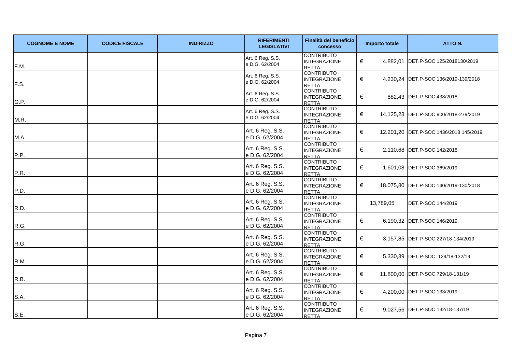| <b>COGNOME E NOME</b> | <b>CODICE FISCALE</b> | <b>INDIRIZZO</b> | <b>RIFERIMENTI</b><br><b>LEGISLATIVI</b> | Finalità del beneficio<br><b>concesso</b>                | <b>Importo totale</b> | ATTO N.                                |
|-----------------------|-----------------------|------------------|------------------------------------------|----------------------------------------------------------|-----------------------|----------------------------------------|
| F.M.                  |                       |                  | Art. 6 Reg. S.S.<br>e D.G. 62/2004       | <b>CONTRIBUTO</b><br><b>INTEGRAZIONE</b><br>RETTA        | €                     | 4.882,01 DET.P-SOC 125/2018130/2019    |
| F.S.                  |                       |                  | Art. 6 Reg. S.S.<br>e D.G. 62/2004       | <b>CONTRIBUTO</b><br><b>INTEGRAZIONE</b><br><b>RETTA</b> | €                     | 4.230,24 DET.P-SOC 136/2019-139/2018   |
| G.P.                  |                       |                  | Art. 6 Reg. S.S.<br>e D.G. 62/2004       | <b>CONTRIBUTO</b><br><b>INTEGRAZIONE</b><br><b>RETTA</b> | €                     | 882,43 DET.P-SOC 438/2018              |
| M.R.                  |                       |                  | Art. 6 Reg. S.S.<br>e D.G. 62/2004       | <b>CONTRIBUTO</b><br><b>INTEGRAZIONE</b><br><b>RETTA</b> | €                     | 14.125,28 DET.P-SOC 900/2018-279/2019  |
| M.A.                  |                       |                  | Art. 6 Reg. S.S.<br>e D.G. 62/2004       | <b>CONTRIBUTO</b><br><b>INTEGRAZIONE</b><br><b>RETTA</b> | €                     | 12.201,20 DET.P-SOC 1436/2018 145/2019 |
| P.P.                  |                       |                  | Art. 6 Reg. S.S.<br>e D.G. 62/2004       | <b>CONTRIBUTO</b><br>INTEGRAZIONE<br><b>RETTA</b>        | €                     | 2.110,68 DET.P-SOC 142/2018            |
| P.R.                  |                       |                  | Art. 6 Reg. S.S.<br>e D.G. 62/2004       | <b>CONTRIBUTO</b><br><b>INTEGRAZIONE</b><br><b>RETTA</b> | €                     | 1.601,08 DET.P-SOC 369/2019            |
| P.D.                  |                       |                  | Art. 6 Reg. S.S.<br>e D.G. 62/2004       | <b>CONTRIBUTO</b><br><b>INTEGRAZIONE</b><br><b>RETTA</b> | €                     | 18.075,80 DET.P-SOC 140/2019-130/2018  |
| R.D.                  |                       |                  | Art. 6 Reg. S.S.<br>e D.G. 62/2004       | <b>CONTRIBUTO</b><br><b>INTEGRAZIONE</b><br><b>RETTA</b> | 13,789,05             | DET.P-SOC 144/2019                     |
| R.G.                  |                       |                  | Art. 6 Reg. S.S.<br>e D.G. 62/2004       | <b>CONTRIBUTO</b><br><b>INTEGRAZIONE</b><br><b>RETTA</b> | €                     | 6.190,32 DET.P-SOC 146/2019            |
| R.G.                  |                       |                  | Art. 6 Reg. S.S.<br>e D.G. 62/2004       | <b>CONTRIBUTO</b><br><b>INTEGRAZIONE</b><br><b>RETTA</b> | €                     | 3.157,85 DET.P-SOC 227/18-134/2019     |
| R.M.                  |                       |                  | Art. 6 Reg. S.S.<br>e D.G. 62/2004       | <b>CONTRIBUTO</b><br><b>INTEGRAZIONE</b><br><b>RETTA</b> | €                     | 5.330,39 DET.P-SOC 129/18-132/19       |
| R.B.                  |                       |                  | Art. 6 Reg. S.S.<br>e D.G. 62/2004       | <b>CONTRIBUTO</b><br><b>INTEGRAZIONE</b><br><b>RETTA</b> | €                     | 11.800,00 DET.P-SOC 729/18-131/19      |
| S.A.                  |                       |                  | Art. 6 Reg. S.S.<br>e D.G. 62/2004       | <b>CONTRIBUTO</b><br><b>INTEGRAZIONE</b><br><b>RETTA</b> | €                     | 4.200,00 DET.P-SOC 133/2019            |
| S.E.                  |                       |                  | Art. 6 Reg. S.S.<br>e D.G. 62/2004       | <b>CONTRIBUTO</b><br><b>INTEGRAZIONE</b><br><b>RETTA</b> | €                     | 9.027,56 DET.P-SOC 132/18-137/19       |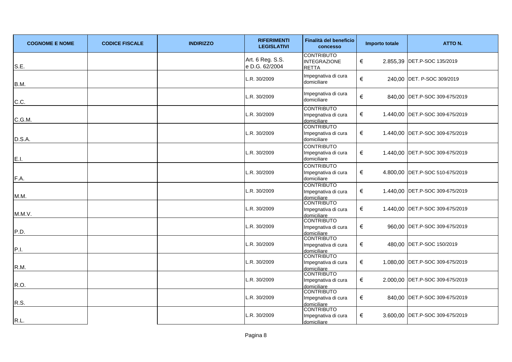| <b>COGNOME E NOME</b> | <b>CODICE FISCALE</b> | <b>INDIRIZZO</b> | <b>RIFERIMENTI</b><br><b>LEGISLATIVI</b> | Finalità del beneficio<br><b>concesso</b>                | Importo totale | ATTO N.                         |
|-----------------------|-----------------------|------------------|------------------------------------------|----------------------------------------------------------|----------------|---------------------------------|
| S.E.                  |                       |                  | Art. 6 Reg. S.S.<br>e D.G. 62/2004       | <b>CONTRIBUTO</b><br><b>INTEGRAZIONE</b><br><b>RETTA</b> | €              | 2.855,39   DET.P-SOC 135/2019   |
| B.M.                  |                       |                  | L.R. 30/2009                             | Impegnativa di cura<br>domiciliare                       | €              | 240,00 DET. P-SOC 309/2019      |
| C.C.                  |                       |                  | L.R. 30/2009                             | Impegnativa di cura<br>domiciliare                       | $\in$          | 840,00 DET.P-SOC 309-675/2019   |
| C.G.M.                |                       |                  | L.R. 30/2009                             | <b>CONTRIBUTO</b><br>Impegnativa di cura<br>domiciliare  | €              | 1.440,00 DET.P-SOC 309-675/2019 |
| D.S.A.                |                       |                  | L.R. 30/2009                             | <b>CONTRIBUTO</b><br>Impegnativa di cura<br>domiciliare  | €              | 1.440,00 DET.P-SOC 309-675/2019 |
| E.I.                  |                       |                  | L.R. 30/2009                             | <b>CONTRIBUTO</b><br>Impegnativa di cura<br>domiciliare  | €              | 1.440,00 DET.P-SOC 309-675/2019 |
| F.A.                  |                       |                  | L.R. 30/2009                             | <b>CONTRIBUTO</b><br>Impegnativa di cura<br>domiciliare  | €              | 4.800,00 DET.P-SOC 510-675/2019 |
| M.M.                  |                       |                  | L.R. 30/2009                             | <b>CONTRIBUTO</b><br>Impegnativa di cura<br>domiciliare  | €              | 1.440,00 DET.P-SOC 309-675/2019 |
| M.M.V.                |                       |                  | L.R. 30/2009                             | <b>CONTRIBUTO</b><br>Impegnativa di cura<br>domiciliare  | €              | 1.440,00 DET.P-SOC 309-675/2019 |
| P.D.                  |                       |                  | .R. 30/2009                              | <b>CONTRIBUTO</b><br>Impegnativa di cura<br>domiciliare  | €              | 960,00 DET.P-SOC 309-675/2019   |
| P.I.                  |                       |                  | L.R. 30/2009                             | <b>CONTRIBUTO</b><br>Impegnativa di cura<br>domiciliare  | €              | 480,00 DET.P-SOC 150/2019       |
| R.M.                  |                       |                  | L.R. 30/2009                             | <b>CONTRIBUTO</b><br>Impegnativa di cura<br>domiciliare  | €              | 1.080,00 DET.P-SOC 309-675/2019 |
| R.O.                  |                       |                  | L.R. 30/2009                             | <b>CONTRIBUTO</b><br>Impegnativa di cura<br>domiciliare  | €              | 2.000,00 DET.P-SOC 309-675/2019 |
| R.S.                  |                       |                  | L.R. 30/2009                             | <b>CONTRIBUTO</b><br>Impegnativa di cura<br>domiciliare  | €              | 840,00 DET.P-SOC 309-675/2019   |
| R.L.                  |                       |                  | L.R. 30/2009                             | <b>CONTRIBUTO</b><br>Impegnativa di cura<br>domiciliare  | €              | 3.600,00 DET.P-SOC 309-675/2019 |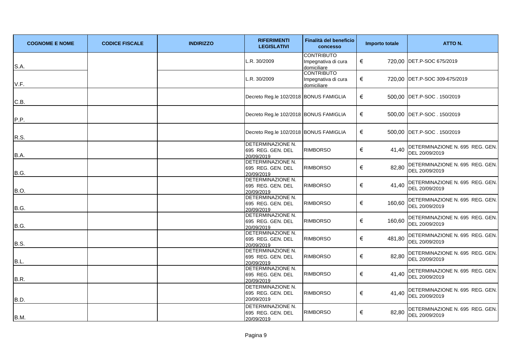| <b>COGNOME E NOME</b> | <b>CODICE FISCALE</b> | <b>INDIRIZZO</b> | <b>RIFERIMENTI</b><br><b>LEGISLATIVI</b>                    | Finalità del beneficio<br>concesso                      | Importo totale | ATTO N.                                           |
|-----------------------|-----------------------|------------------|-------------------------------------------------------------|---------------------------------------------------------|----------------|---------------------------------------------------|
| S.A.                  |                       |                  | L.R. 30/2009                                                | <b>CONTRIBUTO</b><br>Impegnativa di cura<br>domiciliare | €              | 720,00 DET.P-SOC 675/2019                         |
| V.F.                  |                       |                  | L.R. 30/2009                                                | <b>CONTRIBUTO</b><br>Impegnativa di cura<br>domiciliare | €              | 720,00 DET.P-SOC 309-675/2019                     |
| C.B.                  |                       |                  | Decreto Reg.le 102/2018 BONUS FAMIGLIA                      |                                                         | €              | 500,00 DET.P-SOC. 150/2019                        |
| P.P.                  |                       |                  | Decreto Reg.le 102/2018 BONUS FAMIGLIA                      |                                                         | €              | 500,00 DET.P-SOC. 150/2019                        |
| R.S.                  |                       |                  | Decreto Reg.le 102/2018 BONUS FAMIGLIA                      |                                                         | €              | 500,00 DET.P-SOC. 150/2019                        |
| B.A.                  |                       |                  | DETERMINAZIONE N.<br>695 REG. GEN. DEL<br>20/09/2019        | <b>RIMBORSO</b>                                         | €<br>41,40     | DETERMINAZIONE N. 695 REG. GEN.<br>DEL 20/09/2019 |
| <b>B.G.</b>           |                       |                  | DETERMINAZIONE N.<br>695 REG. GEN. DEL<br>20/09/2019        | <b>RIMBORSO</b>                                         | $\in$<br>82,80 | DETERMINAZIONE N. 695 REG. GEN.<br>DEL 20/09/2019 |
| B.O.                  |                       |                  | DETERMINAZIONE N.<br>695 REG. GEN. DEL<br>20/09/2019        | <b>RIMBORSO</b>                                         | 41,40<br>€     | DETERMINAZIONE N. 695 REG. GEN.<br>DEL 20/09/2019 |
| B.G.                  |                       |                  | DETERMINAZIONE N.<br>695 REG. GEN. DEL<br>20/09/2019        | <b>RIMBORSO</b>                                         | €<br>160,60    | DETERMINAZIONE N. 695 REG. GEN.<br>DEL 20/09/2019 |
| B.G.                  |                       |                  | DETERMINAZIONE N.<br>695 REG. GEN. DEL<br>20/09/2019        | <b>RIMBORSO</b>                                         | €<br>160,60    | DETERMINAZIONE N. 695 REG. GEN.<br>DEL 20/09/2019 |
| B.S.                  |                       |                  | <b>DETERMINAZIONE N.</b><br>695 REG. GEN. DEL<br>20/09/2019 | <b>RIMBORSO</b>                                         | €<br>481,80    | DETERMINAZIONE N. 695 REG. GEN.<br>DEL 20/09/2019 |
| B.L.                  |                       |                  | DETERMINAZIONE N.<br>695 REG. GEN. DEL<br>20/09/2019        | <b>RIMBORSO</b>                                         | €<br>82,80     | DETERMINAZIONE N. 695 REG. GEN.<br>DEL 20/09/2019 |
| B.R.                  |                       |                  | DETERMINAZIONE N.<br>695 REG. GEN. DEL<br>20/09/2019        | <b>RIMBORSO</b>                                         | €<br>41,40     | DETERMINAZIONE N. 695 REG. GEN.<br>DEL 20/09/2019 |
| B.D.                  |                       |                  | DETERMINAZIONE N.<br>695 REG. GEN. DEL<br>20/09/2019        | <b>RIMBORSO</b>                                         | €<br>41,40     | DETERMINAZIONE N. 695 REG. GEN.<br>DEL 20/09/2019 |
| B.M.                  |                       |                  | DETERMINAZIONE N.<br>695 REG. GEN. DEL<br>20/09/2019        | <b>RIMBORSO</b>                                         | €<br>82,80     | DETERMINAZIONE N. 695 REG. GEN.<br>DEL 20/09/2019 |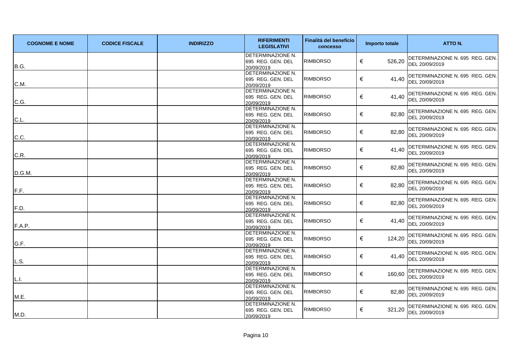| <b>COGNOME E NOME</b> | <b>CODICE FISCALE</b> | <b>INDIRIZZO</b> | <b>RIFERIMENTI</b><br><b>LEGISLATIVI</b>             | Finalità del beneficio<br>concesso | Importo totale | ATTO N.                                           |
|-----------------------|-----------------------|------------------|------------------------------------------------------|------------------------------------|----------------|---------------------------------------------------|
| B.G.                  |                       |                  | DETERMINAZIONE N.<br>695 REG. GEN. DEL<br>20/09/2019 | <b>RIMBORSO</b>                    | €<br>526,20    | DETERMINAZIONE N. 695 REG. GEN.<br>DEL 20/09/2019 |
| C.M.                  |                       |                  | DETERMINAZIONE N.<br>695 REG. GEN. DEL<br>20/09/2019 | <b>RIMBORSO</b>                    | €<br>41,40     | DETERMINAZIONE N. 695 REG. GEN.<br>DEL 20/09/2019 |
| C.G.                  |                       |                  | DETERMINAZIONE N.<br>695 REG. GEN. DEL<br>20/09/2019 | <b>RIMBORSO</b>                    | €<br>41,40     | DETERMINAZIONE N. 695 REG. GEN.<br>DEL 20/09/2019 |
| C.L.                  |                       |                  | DETERMINAZIONE N.<br>695 REG. GEN. DEL<br>20/09/2019 | <b>RIMBORSO</b>                    | €<br>82,80     | DETERMINAZIONE N. 695 REG. GEN.<br>DEL 20/09/2019 |
| C.C.                  |                       |                  | DETERMINAZIONE N.<br>695 REG. GEN. DEL<br>20/09/2019 | <b>RIMBORSO</b>                    | €<br>82,80     | DETERMINAZIONE N. 695 REG. GEN.<br>DEL 20/09/2019 |
| C.R.                  |                       |                  | DETERMINAZIONE N.<br>695 REG. GEN. DEL<br>20/09/2019 | <b>RIMBORSO</b>                    | €<br>41,40     | DETERMINAZIONE N. 695 REG. GEN.<br>DEL 20/09/2019 |
| D.G.M.                |                       |                  | DETERMINAZIONE N.<br>695 REG. GEN. DEL<br>20/09/2019 | <b>RIMBORSO</b>                    | €<br>82,80     | DETERMINAZIONE N. 695 REG. GEN.<br>DEL 20/09/2019 |
| F.F.                  |                       |                  | DETERMINAZIONE N.<br>695 REG. GEN. DEL<br>20/09/2019 | <b>RIMBORSO</b>                    | €<br>82,80     | DETERMINAZIONE N. 695 REG. GEN.<br>DEL 20/09/2019 |
| F.D.                  |                       |                  | DETERMINAZIONE N.<br>695 REG. GEN. DEL<br>20/09/2019 | <b>RIMBORSO</b>                    | €<br>82,80     | DETERMINAZIONE N. 695 REG. GEN.<br>DEL 20/09/2019 |
| F.A.P.                |                       |                  | DETERMINAZIONE N.<br>695 REG. GEN. DEL<br>20/09/2019 | <b>RIMBORSO</b>                    | €<br>41,40     | DETERMINAZIONE N. 695 REG. GEN.<br>DEL 20/09/2019 |
| G.F.                  |                       |                  | DETERMINAZIONE N.<br>695 REG. GEN. DEL<br>20/09/2019 | <b>RIMBORSO</b>                    | €<br>124,20    | DETERMINAZIONE N. 695 REG. GEN.<br>DEL 20/09/2019 |
| L.S.                  |                       |                  | DETERMINAZIONE N.<br>695 REG. GEN. DEL<br>20/09/2019 | <b>RIMBORSO</b>                    | €<br>41,40     | DETERMINAZIONE N. 695 REG. GEN.<br>DEL 20/09/2019 |
| L.I.                  |                       |                  | DETERMINAZIONE N.<br>695 REG. GEN. DEL<br>20/09/2019 | <b>RIMBORSO</b>                    | €<br>160,60    | DETERMINAZIONE N. 695 REG. GEN.<br>DEL 20/09/2019 |
| M.E.                  |                       |                  | DETERMINAZIONE N.<br>695 REG. GEN. DEL<br>20/09/2019 | <b>RIMBORSO</b>                    | €<br>82,80     | DETERMINAZIONE N. 695 REG. GEN.<br>DEL 20/09/2019 |
| M.D.                  |                       |                  | DETERMINAZIONE N.<br>695 REG. GEN. DEL<br>20/09/2019 | <b>RIMBORSO</b>                    | €<br>321,20    | DETERMINAZIONE N. 695 REG. GEN.<br>DEL 20/09/2019 |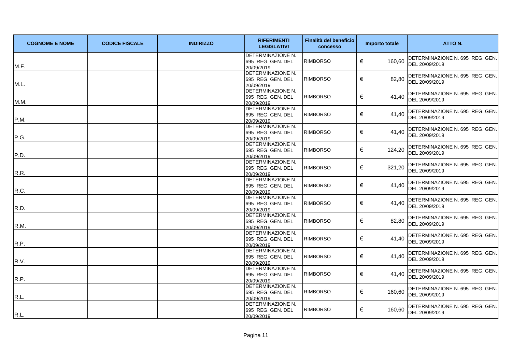| <b>COGNOME E NOME</b> | <b>CODICE FISCALE</b> | <b>INDIRIZZO</b> | <b>RIFERIMENTI</b><br><b>LEGISLATIVI</b>             | Finalità del beneficio<br>concesso | Importo totale | ATTO N.                                           |
|-----------------------|-----------------------|------------------|------------------------------------------------------|------------------------------------|----------------|---------------------------------------------------|
| M.F.                  |                       |                  | DETERMINAZIONE N.<br>695 REG. GEN. DEL<br>20/09/2019 | <b>RIMBORSO</b>                    | €<br>160,60    | DETERMINAZIONE N. 695 REG. GEN.<br>DEL 20/09/2019 |
| M.L.                  |                       |                  | DETERMINAZIONE N.<br>695 REG. GEN. DEL<br>20/09/2019 | <b>RIMBORSO</b>                    | €<br>82,80     | DETERMINAZIONE N. 695 REG. GEN.<br>DEL 20/09/2019 |
| M.M.                  |                       |                  | DETERMINAZIONE N.<br>695 REG. GEN. DEL<br>20/09/2019 | <b>RIMBORSO</b>                    | €<br>41,40     | DETERMINAZIONE N. 695 REG. GEN.<br>DEL 20/09/2019 |
| P.M.                  |                       |                  | DETERMINAZIONE N.<br>695 REG. GEN. DEL<br>20/09/2019 | <b>RIMBORSO</b>                    | €<br>41.40     | DETERMINAZIONE N. 695 REG. GEN.<br>DEL 20/09/2019 |
| P.G.                  |                       |                  | DETERMINAZIONE N.<br>695 REG. GEN. DEL<br>20/09/2019 | <b>RIMBORSO</b>                    | €<br>41,40     | DETERMINAZIONE N. 695 REG. GEN.<br>DEL 20/09/2019 |
| P.D.                  |                       |                  | DETERMINAZIONE N.<br>695 REG. GEN. DEL<br>20/09/2019 | <b>RIMBORSO</b>                    | €<br>124,20    | DETERMINAZIONE N. 695 REG. GEN.<br>DEL 20/09/2019 |
| R.R.                  |                       |                  | DETERMINAZIONE N.<br>695 REG. GEN. DEL<br>20/09/2019 | <b>RIMBORSO</b>                    | €<br>321,20    | DETERMINAZIONE N. 695 REG. GEN.<br>DEL 20/09/2019 |
| R.C.                  |                       |                  | DETERMINAZIONE N.<br>695 REG. GEN. DEL<br>20/09/2019 | <b>RIMBORSO</b>                    | €<br>41,40     | DETERMINAZIONE N. 695 REG. GEN.<br>DEL 20/09/2019 |
| R.D.                  |                       |                  | DETERMINAZIONE N.<br>695 REG. GEN. DEL<br>20/09/2019 | <b>RIMBORSO</b>                    | €<br>41,40     | DETERMINAZIONE N. 695 REG. GEN.<br>DEL 20/09/2019 |
| R.M.                  |                       |                  | DETERMINAZIONE N.<br>695 REG. GEN. DEL<br>20/09/2019 | <b>RIMBORSO</b>                    | €<br>82,80     | DETERMINAZIONE N. 695 REG. GEN.<br>DEL 20/09/2019 |
| R.P.                  |                       |                  | DETERMINAZIONE N.<br>695 REG. GEN. DEL<br>20/09/2019 | <b>RIMBORSO</b>                    | €<br>41,40     | DETERMINAZIONE N. 695 REG. GEN.<br>DEL 20/09/2019 |
| R.V.                  |                       |                  | DETERMINAZIONE N.<br>695 REG. GEN. DEL<br>20/09/2019 | <b>RIMBORSO</b>                    | €<br>41,40     | DETERMINAZIONE N. 695 REG. GEN.<br>DEL 20/09/2019 |
| R.P.                  |                       |                  | DETERMINAZIONE N.<br>695 REG. GEN. DEL<br>20/09/2019 | <b>RIMBORSO</b>                    | €<br>41,40     | DETERMINAZIONE N. 695 REG. GEN.<br>DEL 20/09/2019 |
| R.L.                  |                       |                  | DETERMINAZIONE N.<br>695 REG. GEN. DEL<br>20/09/2019 | <b>RIMBORSO</b>                    | €<br>160,60    | DETERMINAZIONE N. 695 REG. GEN.<br>DEL 20/09/2019 |
| R.L.                  |                       |                  | DETERMINAZIONE N.<br>695 REG. GEN. DEL<br>20/09/2019 | <b>RIMBORSO</b>                    | €<br>160,60    | DETERMINAZIONE N. 695 REG. GEN.<br>DEL 20/09/2019 |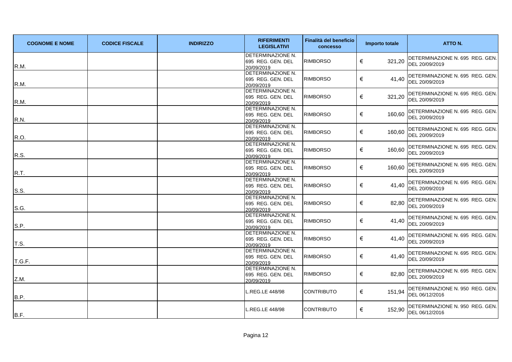| <b>COGNOME E NOME</b> | <b>CODICE FISCALE</b> | <b>INDIRIZZO</b> | <b>RIFERIMENTI</b><br><b>LEGISLATIVI</b>                    | Finalità del beneficio<br>concesso | Importo totale | ATTO N.                                           |
|-----------------------|-----------------------|------------------|-------------------------------------------------------------|------------------------------------|----------------|---------------------------------------------------|
| R.M.                  |                       |                  | DETERMINAZIONE N.<br>695 REG. GEN. DEL<br>20/09/2019        | <b>RIMBORSO</b>                    | €<br>321,20    | DETERMINAZIONE N. 695 REG. GEN.<br>DEL 20/09/2019 |
| R.M.                  |                       |                  | DETERMINAZIONE N.<br>695 REG. GEN. DEL<br>20/09/2019        | <b>RIMBORSO</b>                    | €<br>41,40     | DETERMINAZIONE N. 695 REG. GEN.<br>DEL 20/09/2019 |
| R.M.                  |                       |                  | DETERMINAZIONE N.<br>695 REG. GEN. DEL<br>20/09/2019        | <b>RIMBORSO</b>                    | €<br>321,20    | DETERMINAZIONE N. 695 REG. GEN.<br>DEL 20/09/2019 |
| R.N.                  |                       |                  | DETERMINAZIONE N.<br>695 REG. GEN. DEL<br>20/09/2019        | <b>RIMBORSO</b>                    | €<br>160,60    | DETERMINAZIONE N. 695 REG. GEN.<br>DEL 20/09/2019 |
| R.O.                  |                       |                  | DETERMINAZIONE N.<br>695 REG. GEN. DEL<br>20/09/2019        | <b>RIMBORSO</b>                    | €<br>160,60    | DETERMINAZIONE N. 695 REG. GEN.<br>DEL 20/09/2019 |
| R.S.                  |                       |                  | <b>DETERMINAZIONE N.</b><br>695 REG. GEN. DEL<br>20/09/2019 | <b>RIMBORSO</b>                    | €<br>160,60    | DETERMINAZIONE N. 695 REG. GEN.<br>DEL 20/09/2019 |
| R.T.                  |                       |                  | DETERMINAZIONE N.<br>695 REG. GEN. DEL<br>20/09/2019        | <b>RIMBORSO</b>                    | €<br>160,60    | DETERMINAZIONE N. 695 REG. GEN.<br>DEL 20/09/2019 |
| S.S.                  |                       |                  | DETERMINAZIONE N.<br>695 REG. GEN. DEL<br>20/09/2019        | <b>RIMBORSO</b>                    | €<br>41,40     | DETERMINAZIONE N. 695 REG. GEN.<br>DEL 20/09/2019 |
| S.G.                  |                       |                  | DETERMINAZIONE N.<br>695 REG. GEN. DEL<br>20/09/2019        | <b>RIMBORSO</b>                    | €<br>82,80     | DETERMINAZIONE N. 695 REG. GEN.<br>DEL 20/09/2019 |
| S.P.                  |                       |                  | DETERMINAZIONE N.<br>695 REG. GEN. DEL<br>20/09/2019        | <b>RIMBORSO</b>                    | €<br>41,40     | DETERMINAZIONE N. 695 REG. GEN.<br>DEL 20/09/2019 |
| T.S.                  |                       |                  | <b>DETERMINAZIONE N.</b><br>695 REG. GEN. DEL<br>20/09/2019 | <b>RIMBORSO</b>                    | €<br>41,40     | DETERMINAZIONE N. 695 REG. GEN.<br>DEL 20/09/2019 |
| T.G.F.                |                       |                  | DETERMINAZIONE N.<br>695 REG. GEN. DEL<br>20/09/2019        | <b>RIMBORSO</b>                    | €<br>41,40     | DETERMINAZIONE N. 695 REG. GEN.<br>DEL 20/09/2019 |
| Z.M.                  |                       |                  | DETERMINAZIONE N.<br>695 REG. GEN. DEL<br>20/09/2019        | <b>RIMBORSO</b>                    | €<br>82,80     | DETERMINAZIONE N. 695 REG. GEN.<br>DEL 20/09/2019 |
| B.P.                  |                       |                  | REG.LE 448/98                                               | CONTRIBUTO                         | €<br>151,94    | DETERMINAZIONE N. 950 REG. GEN.<br>DEL 06/12/2016 |
| B.F.                  |                       |                  | REG.LE 448/98                                               | <b>CONTRIBUTO</b>                  | €<br>152,90    | DETERMINAZIONE N. 950 REG. GEN.<br>DEL 06/12/2016 |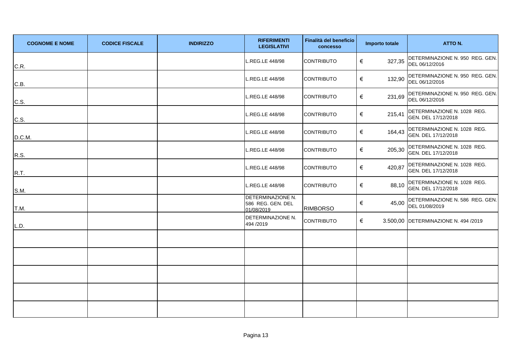| <b>COGNOME E NOME</b> | <b>CODICE FISCALE</b> | <b>INDIRIZZO</b> | <b>RIFERIMENTI</b><br><b>LEGISLATIVI</b>             | Finalità del beneficio<br><b>concesso</b> | Importo totale | ATTO N.                                            |
|-----------------------|-----------------------|------------------|------------------------------------------------------|-------------------------------------------|----------------|----------------------------------------------------|
| C.R.                  |                       |                  | REG.LE 448/98                                        | <b>CONTRIBUTO</b>                         | 327,35<br>€    | DETERMINAZIONE N. 950 REG. GEN.<br>DEL 06/12/2016  |
| C.B.                  |                       |                  | .REG.LE 448/98                                       | <b>CONTRIBUTO</b>                         | €<br>132,90    | DETERMINAZIONE N. 950 REG. GEN.<br>DEL 06/12/2016  |
| C.S.                  |                       |                  | REG.LE 448/98                                        | <b>CONTRIBUTO</b>                         | €<br>231,69    | DETERMINAZIONE N. 950 REG. GEN.<br>DEL 06/12/2016  |
| C.S.                  |                       |                  | REG.LE 448/98                                        | <b>CONTRIBUTO</b>                         | €<br>215,41    | DETERMINAZIONE N. 1028 REG.<br>GEN. DEL 17/12/2018 |
| D.C.M.                |                       |                  | .REG.LE 448/98                                       | <b>CONTRIBUTO</b>                         | €<br>164,43    | DETERMINAZIONE N. 1028 REG.<br>GEN. DEL 17/12/2018 |
| R.S.                  |                       |                  | REG.LE 448/98                                        | <b>CONTRIBUTO</b>                         | €<br>205,30    | DETERMINAZIONE N. 1028 REG.<br>GEN. DEL 17/12/2018 |
| R.T.                  |                       |                  | REG.LE 448/98                                        | <b>CONTRIBUTO</b>                         | €<br>420,87    | DETERMINAZIONE N. 1028 REG.<br>GEN. DEL 17/12/2018 |
| S.M.                  |                       |                  | REG.LE 448/98                                        | <b>CONTRIBUTO</b>                         | €<br>88,10     | DETERMINAZIONE N. 1028 REG.<br>GEN. DEL 17/12/2018 |
| T.M.                  |                       |                  | DETERMINAZIONE N.<br>586 REG. GEN. DEL<br>01/08/2019 | <b>RIMBORSO</b>                           | €<br>45,00     | DETERMINAZIONE N. 586 REG. GEN.<br>DEL 01/08/2019  |
| L.D.                  |                       |                  | DETERMINAZIONE N.<br>494 /2019                       | CONTRIBUTO                                | €              | 3.500,00 DETERMINAZIONE N. 494 /2019               |
|                       |                       |                  |                                                      |                                           |                |                                                    |
|                       |                       |                  |                                                      |                                           |                |                                                    |
|                       |                       |                  |                                                      |                                           |                |                                                    |
|                       |                       |                  |                                                      |                                           |                |                                                    |
|                       |                       |                  |                                                      |                                           |                |                                                    |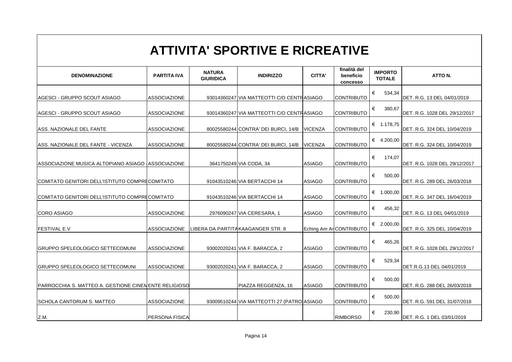### **ATTIVITA' SPORTIVE E RICREATIVE**

| <b>DENOMINAZIONE</b>                                 | <b>PARTITA IVA</b>  | <b>NATURA</b><br><b>GIURIDICA</b> | <b>INDIRIZZO</b>                           | <b>CITTA'</b>  | finalità del<br>beneficio<br><b>concesso</b> | <b>IMPORTO</b><br><b>TOTALE</b> | ATTO N.                       |
|------------------------------------------------------|---------------------|-----------------------------------|--------------------------------------------|----------------|----------------------------------------------|---------------------------------|-------------------------------|
|                                                      |                     |                                   |                                            |                |                                              | €<br>534,34                     |                               |
| AGESCI - GRUPPO SCOUT ASIAGO                         | <b>ASSOCIAZIONE</b> |                                   | 93014360247 VIA MATTEOTTI C/O CENTRASIAGO  |                | <b>CONTRIBUTO</b>                            |                                 | DET. R.G. 13 DEL 04/01/2019   |
| AGESCI - GRUPPO SCOUT ASIAGO                         | <b>ASSOCIAZIONE</b> |                                   | 93014360247 VIA MATTEOTTI C/O CENTRASIAGO  |                | <b>CONTRIBUTO</b>                            | €<br>380,67                     | DET. R.G. 1028 DEL 29/12/2017 |
| ASS. NAZIONALE DEL FANTE                             | <b>ASSOCIAZIONE</b> |                                   | 80025580244 CONTRA' DEI BURCI, 14/B        | <b>VICENZA</b> | <b>CONTRIBUTO</b>                            | € 1.178,75                      | DET. R.G. 324 DEL 10/04/2019  |
| ASS. NAZIONALE DEL FANTE - VICENZA                   | <b>ASSOCIAZIONE</b> |                                   | 80025580244 CONTRA' DEI BURCI, 14/B        | <b>VICENZA</b> | <b>CONTRIBUTO</b>                            | € 4.200,00                      | DET. R.G. 324 DEL 10/04/2019  |
| ASSOCIAZIONE MUSICA ALTOPIANO ASIAGO ASSOCIAZIONE    |                     |                                   | 3641750249 VIA CODA, 34                    | <b>ASIAGO</b>  | <b>CONTRIBUTO</b>                            | €<br>174,07                     | DET. R.G. 1028 DEL 29/12/2017 |
| COMITATO GENITORI DELL'ISTITUTO COMPRECOMITATO       |                     |                                   | 91043510246 VIA BERTACCHI 14               | <b>ASIAGO</b>  | <b>CONTRIBUTO</b>                            | €<br>500,00                     | DET. R.G. 289 DEL 26/03/2018  |
| COMITATO GENITORI DELL'ISTITUTO COMPRECOMITATO       |                     |                                   | 91043510246 VIA BERTACCHI 14               | <b>ASIAGO</b>  | <b>CONTRIBUTO</b>                            | € $1.000,00$                    | DET. R.G. 347 DEL 16/04/2019  |
| <b>CORO ASIAGO</b>                                   | <b>ASSOCIAZIONE</b> |                                   | 2976090247 VIA CERESARA, 1                 | <b>ASIAGO</b>  | <b>CONTRIBUTO</b>                            | €<br>456,32                     | DET. R.G. 13 DEL 04/01/2019   |
| <b>FESTIVAL E.V</b>                                  | <b>ASSOCIAZIONE</b> |                                   | LIBERA DA PARTITAKAAGANGER STR. 8          |                | Eching Am ArCONTRIBUTO                       | € 2.000,00                      | DET. R.G. 325 DEL 10/04/2019  |
| <b>GRUPPO SPELEOLOGICO SETTECOMUNI</b>               | <b>ASSOCIAZIONE</b> |                                   | 93002020241 VIA F. BARACCA, 2              | <b>ASIAGO</b>  | <b>CONTRIBUTO</b>                            | €<br>465,26                     | DET. R.G. 1028 DEL 29/12/2017 |
| <b>GRUPPO SPELEOLOGICO SETTECOMUNI</b>               | <b>ASSOCIAZIONE</b> |                                   | 93002020241 VIA F. BARACCA, 2              | <b>ASIAGO</b>  | <b>CONTRIBUTO</b>                            | €<br>529,34                     | DET.R.G.13 DEL 04/01/2019     |
| PARROCCHIA S. MATTEO A. GESTIONE CINEMENTE RELIGIOSO |                     |                                   | PIAZZA REGGENZA, 16                        | <b>ASIAGO</b>  | <b>CONTRIBUTO</b>                            | €<br>500,00                     | DET. R.G. 288 DEL 26/03/2018  |
| SCHOLA CANTORUM S. MATTEO                            | <b>ASSOCIAZIONE</b> |                                   | 93009510244 VIA MATTEOTTI 27 (PATRO ASIAGO |                | <b>CONTRIBUTO</b>                            | €<br>500,00                     | DET. R.G. 591 DEL 31/07/2018  |
| Z.M.                                                 | PERSONA FISICA      |                                   |                                            |                | <b>RIMBORSO</b>                              | $\in$<br>230,90                 | DET. R.G. 1 DEL 03/01/2019    |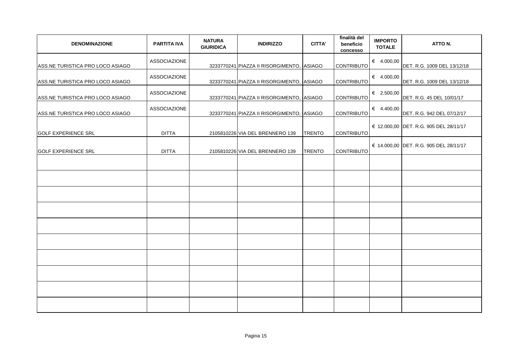| <b>DENOMINAZIONE</b>             | <b>PARTITA IVA</b>  | <b>NATURA</b><br><b>GIURIDICA</b> | <b>INDIRIZZO</b>                          | <b>CITTA'</b> | finalità del<br>beneficio<br>concesso | <b>IMPORTO</b><br><b>TOTALE</b> | ATTO N.                                |
|----------------------------------|---------------------|-----------------------------------|-------------------------------------------|---------------|---------------------------------------|---------------------------------|----------------------------------------|
| ASS.NE TURISTICA PRO LOCO ASIAGO | <b>ASSOCIAZIONE</b> |                                   | 3233770241 PIAZZA II RISORGIMENTO, ASIAGO |               | <b>CONTRIBUTO</b>                     | € 4.000,00                      | DET. R.G. 1009 DEL 13/12/18            |
| ASS.NE TURISTICA PRO LOCO ASIAGO | <b>ASSOCIAZIONE</b> |                                   | 3233770241 PIAZZA II RISORGIMENTO, ASIAGO |               | <b>CONTRIBUTO</b>                     | € 4.000,00                      | DET. R.G. 1009 DEL 13/12/18            |
| ASS.NE TURISTICA PRO LOCO ASIAGO | <b>ASSOCIAZIONE</b> |                                   | 3233770241 PIAZZA II RISORGIMENTO, ASIAGO |               | CONTRIBUTO                            | € 2.500,00                      | DET. R.G. 45 DEL 10/01/17              |
| ASS.NE TURISTICA PRO LOCO ASIAGO | <b>ASSOCIAZIONE</b> |                                   | 3233770241 PIAZZA II RISORGIMENTO, ASIAGO |               | CONTRIBUTO                            | € 4.400,00                      | DET. R.G. 942 DEL 07/12/17             |
| <b>GOLF EXPERIENCE SRL</b>       | <b>DITTA</b>        |                                   | 2105810226 VIA DEL BRENNERO 139           | <b>TRENTO</b> | CONTRIBUTO                            |                                 | € 12.000,00 DET. R.G. 905 DEL 28/11/17 |
| <b>GOLF EXPERIENCE SRL</b>       | <b>DITTA</b>        |                                   | 2105810226 VIA DEL BRENNERO 139           | <b>TRENTO</b> | <b>CONTRIBUTO</b>                     |                                 | € 14.000,00 DET. R.G. 905 DEL 28/11/17 |
|                                  |                     |                                   |                                           |               |                                       |                                 |                                        |
|                                  |                     |                                   |                                           |               |                                       |                                 |                                        |
|                                  |                     |                                   |                                           |               |                                       |                                 |                                        |
|                                  |                     |                                   |                                           |               |                                       |                                 |                                        |
|                                  |                     |                                   |                                           |               |                                       |                                 |                                        |
|                                  |                     |                                   |                                           |               |                                       |                                 |                                        |
|                                  |                     |                                   |                                           |               |                                       |                                 |                                        |
|                                  |                     |                                   |                                           |               |                                       |                                 |                                        |
|                                  |                     |                                   |                                           |               |                                       |                                 |                                        |
|                                  |                     |                                   |                                           |               |                                       |                                 |                                        |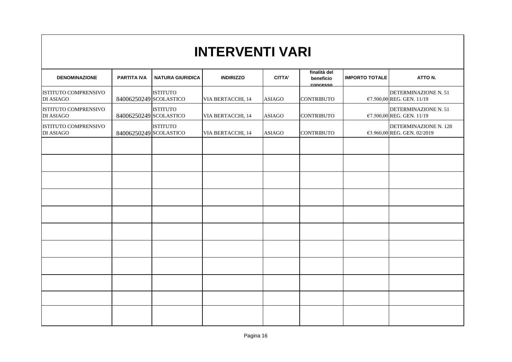#### **DENOMINAZIONE PARTITA IVA NATURA GIURIDICA INDIRIZZO CITTA' finalità del beneficio concesso IMPORTO TOTALE ATTO N.** ISTITUTO COMPRENSIVO DI ASIAGO 84006250249 SCOLASTICO ISTITUTO VIA BERTACCHI, 14 ASIAGO CONTRIBUTO DETERMINAZIONE N. 51 €7.500,00 REG. GEN. 11/19 ISTITUTO COMPRENSIVO DI ASIAGO 84006250249 SCOLASTICO **ISTITUTO** VIA BERTACCHI, 14 ASIAGO CONTRIBUTO DETERMINAZIONE N. 51 €7.500,00 REG. GEN. 11/19 ISTITUTO COMPRENSIVO DI ASIAGO 84006250249 SCOLASTICO **ISTITUTO** VIA BERTACCHI, 14 ASIAGO CONTRIBUTO DETERMINAZIONE N. 128 €3.960,00 REG. GEN. 02/2019 **INTERVENTI VARI**